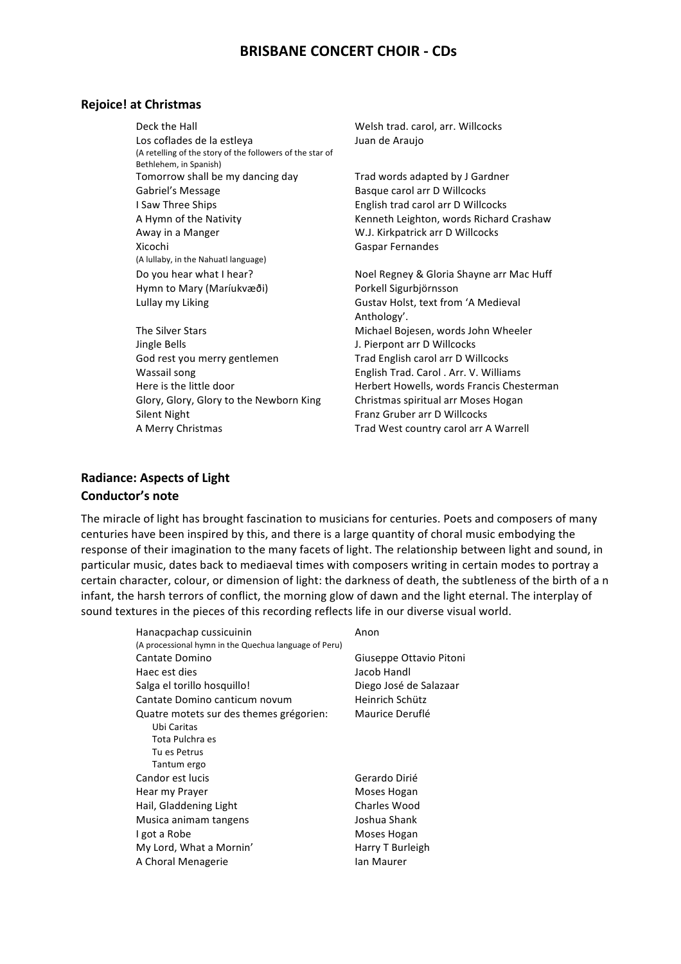## **BRISBANE CONCERT CHOIR - CDs**

#### **Rejoice! at Christmas**

Deck the Hall **National Welsh trad.** carol, arr. Willcocks Los coflades de la estleya (A retelling of the story of the followers of the star of Bethlehem, in Spanish) Tomorrow shall be my dancing day Trad words adapted by J Gardner Gabriel's Message The Basque carol arr D Willcocks I Saw Three Ships **English trad carol** arr D Willcocks Away in a Manger The Manger Communist Communist Communist Communist Communist Communist Communist Communist Communist Communist Communist Communist Communist Communist Communist Communist Communist Communist Communist Comm Xicochi (A lullaby, in the Nahuatl language) Do you hear what I hear? Noel Regney & Gloria Shayne arr Mac Huff Hymn to Mary (Maríukvæði) Porkell Sigurbjörnsson Lullay my Liking example and the Gustav Holst, text from 'A Medieval

J. Pierpont arr D Willcocks God rest you merry gentlemen Trad English carol arr D Willcocks Wassail song The English Trad. Carol . Arr. V. Williams Glory, Glory, Glory to the Newborn King Christmas spiritual arr Moses Hogan Silent Night **Franz** Gruber arr D Willcocks A Merry Christmas Trad West country carol arr A Warrell

Juan de Araujo

A Hymn of the Nativity **Kenneth Leighton, words Richard Crashaw** Gaspar Fernandes

Anthology'. The Silver Stars **Michael Bojesen, words John Wheeler** Here is the little door example and Herbert Howells, words Francis Chesterman

## **Radiance: Aspects of Light Conductor's note**

The miracle of light has brought fascination to musicians for centuries. Poets and composers of many centuries have been inspired by this, and there is a large quantity of choral music embodying the response of their imagination to the many facets of light. The relationship between light and sound, in particular music, dates back to mediaeval times with composers writing in certain modes to portray a certain character, colour, or dimension of light: the darkness of death, the subtleness of the birth of a n infant, the harsh terrors of conflict, the morning glow of dawn and the light eternal. The interplay of sound textures in the pieces of this recording reflects life in our diverse visual world.

| Hanacpachap cussicuinin                               | Anon                    |
|-------------------------------------------------------|-------------------------|
| (A processional hymn in the Quechua language of Peru) |                         |
| Cantate Domino                                        | Giuseppe Ottavio Pitoni |
| Haec est dies                                         | Jacob Handl             |
| Salga el torillo hosquillo!                           | Diego José de Salazaar  |
| Cantate Domino canticum novum                         | Heinrich Schütz         |
| Quatre motets sur des themes grégorien:               | Maurice Deruflé         |
| Ubi Caritas                                           |                         |
| Tota Pulchra es                                       |                         |
| Tu es Petrus                                          |                         |
| Tantum ergo                                           |                         |
| Candor est lucis                                      | Gerardo Dirié           |
| Hear my Prayer                                        | Moses Hogan             |
| Hail, Gladdening Light                                | Charles Wood            |
| Musica animam tangens                                 | Joshua Shank            |
| I got a Robe                                          | Moses Hogan             |
| My Lord, What a Mornin'                               | Harry T Burleigh        |
| A Choral Menagerie                                    | lan Maurer              |